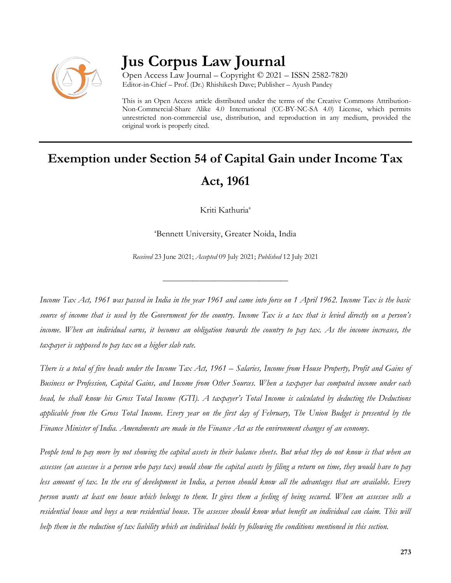

## **Jus Corpus Law Journal**

Open Access Law Journal – Copyright © 2021 – ISSN 2582-7820 Editor-in-Chief – Prof. (Dr.) Rhishikesh Dave; Publisher – Ayush Pandey

This is an Open Access article distributed under the terms of the Creative Commons Attribution-Non-Commercial-Share Alike 4.0 International (CC-BY-NC-SA 4.0) License, which permits unrestricted non-commercial use, distribution, and reproduction in any medium, provided the original work is properly cited.

# **Exemption under Section 54 of Capital Gain under Income Tax Act, 1961**

Kriti Kathuria<sup>a</sup>

<sup>a</sup>Bennett University, Greater Noida, India

*Received* 23 June 2021; *Accepted* 09 July 2021; *Published* 12 July 2021

\_\_\_\_\_\_\_\_\_\_\_\_\_\_\_\_\_\_\_\_\_\_\_\_\_\_\_\_\_\_\_\_\_\_

*Income Tax Act, 1961 was passed in India in the year 1961 and came into force on 1 April 1962. Income Tax is the basic source of income that is used by the Government for the country. Income Tax is a tax that is levied directly on a person's income. When an individual earns, it becomes an obligation towards the country to pay tax. As the income increases, the taxpayer is supposed to pay tax on a higher slab rate.* 

*There is a total of five heads under the Income Tax Act, 1961 – Salaries, Income from House Property, Profit and Gains of Business or Profession, Capital Gains, and Income from Other Sources. When a taxpayer has computed income under each head, he shall know his Gross Total Income (GTI). A taxpayer's Total Income is calculated by deducting the Deductions applicable from the Gross Total Income. Every year on the first day of February, The Union Budget is presented by the Finance Minister of India. Amendments are made in the Finance Act as the environment changes of an economy.* 

*People tend to pay more by not showing the capital assets in their balance sheets. But what they do not know is that when an assessee (an assessee is a person who pays tax) would show the capital assets by filing a return on time, they would have to pay less amount of tax. In the era of development in India, a person should know all the advantages that are available. Every person wants at least one house which belongs to them. It gives them a feeling of being secured. When an assessee sells a residential house and buys a new residential house. The assessee should know what benefit an individual can claim. This will help them in the reduction of tax liability which an individual holds by following the conditions mentioned in this section.*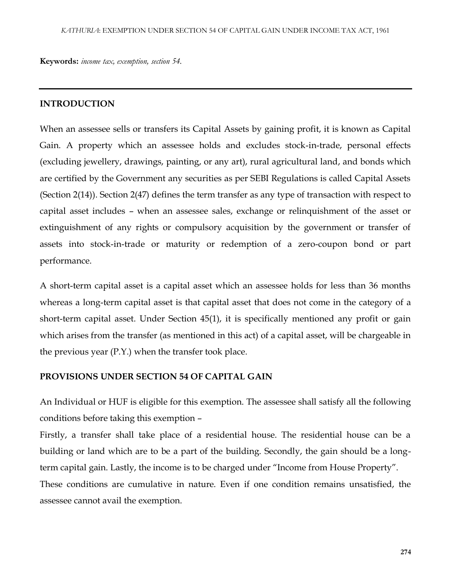**Keywords:** *income tax, exemption, section 54.*

#### **INTRODUCTION**

When an assessee sells or transfers its Capital Assets by gaining profit, it is known as Capital Gain. A property which an assessee holds and excludes stock-in-trade, personal effects (excluding jewellery, drawings, painting, or any art), rural agricultural land, and bonds which are certified by the Government any securities as per SEBI Regulations is called Capital Assets (Section 2(14)). Section 2(47) defines the term transfer as any type of transaction with respect to capital asset includes – when an assessee sales, exchange or relinquishment of the asset or extinguishment of any rights or compulsory acquisition by the government or transfer of assets into stock-in-trade or maturity or redemption of a zero-coupon bond or part performance.

A short-term capital asset is a capital asset which an assessee holds for less than 36 months whereas a long-term capital asset is that capital asset that does not come in the category of a short-term capital asset. Under Section 45(1), it is specifically mentioned any profit or gain which arises from the transfer (as mentioned in this act) of a capital asset, will be chargeable in the previous year (P.Y.) when the transfer took place.

#### **PROVISIONS UNDER SECTION 54 OF CAPITAL GAIN**

An Individual or HUF is eligible for this exemption. The assessee shall satisfy all the following conditions before taking this exemption –

Firstly, a transfer shall take place of a residential house. The residential house can be a building or land which are to be a part of the building. Secondly, the gain should be a longterm capital gain. Lastly, the income is to be charged under "Income from House Property". These conditions are cumulative in nature. Even if one condition remains unsatisfied, the

assessee cannot avail the exemption.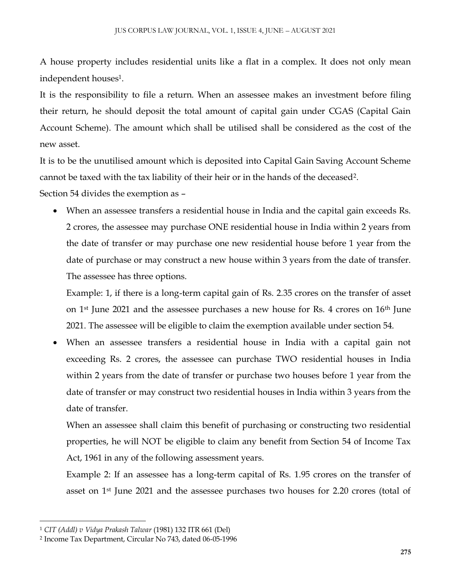A house property includes residential units like a flat in a complex. It does not only mean independent houses<sup>1</sup> .

It is the responsibility to file a return. When an assessee makes an investment before filing their return, he should deposit the total amount of capital gain under CGAS (Capital Gain Account Scheme). The amount which shall be utilised shall be considered as the cost of the new asset.

It is to be the unutilised amount which is deposited into Capital Gain Saving Account Scheme cannot be taxed with the tax liability of their heir or in the hands of the deceased<sup>2</sup> .

Section 54 divides the exemption as –

 When an assessee transfers a residential house in India and the capital gain exceeds Rs. 2 crores, the assessee may purchase ONE residential house in India within 2 years from the date of transfer or may purchase one new residential house before 1 year from the date of purchase or may construct a new house within 3 years from the date of transfer. The assessee has three options.

Example: 1, if there is a long-term capital gain of Rs. 2.35 crores on the transfer of asset on  $1<sup>st</sup>$  June 2021 and the assessee purchases a new house for Rs. 4 crores on  $16<sup>th</sup>$  June 2021. The assessee will be eligible to claim the exemption available under section 54.

 When an assessee transfers a residential house in India with a capital gain not exceeding Rs. 2 crores, the assessee can purchase TWO residential houses in India within 2 years from the date of transfer or purchase two houses before 1 year from the date of transfer or may construct two residential houses in India within 3 years from the date of transfer.

When an assessee shall claim this benefit of purchasing or constructing two residential properties, he will NOT be eligible to claim any benefit from Section 54 of Income Tax Act, 1961 in any of the following assessment years.

Example 2: If an assessee has a long-term capital of Rs. 1.95 crores on the transfer of asset on 1st June 2021 and the assessee purchases two houses for 2.20 crores (total of

 $\overline{\phantom{a}}$ 

<sup>1</sup> *CIT (Addl) v Vidya Prakash Talwar* (1981) 132 ITR 661 (Del)

<sup>2</sup> Income Tax Department, Circular No 743, dated 06-05-1996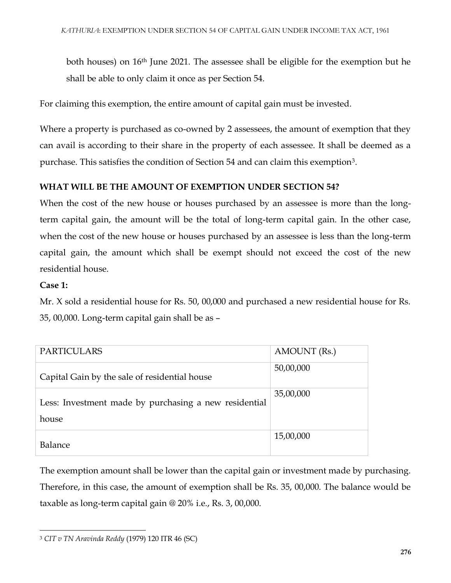both houses) on 16th June 2021. The assessee shall be eligible for the exemption but he shall be able to only claim it once as per Section 54.

For claiming this exemption, the entire amount of capital gain must be invested.

Where a property is purchased as co-owned by 2 assessees, the amount of exemption that they can avail is according to their share in the property of each assessee. It shall be deemed as a purchase. This satisfies the condition of Section 54 and can claim this exemption<sup>3</sup>.

#### **WHAT WILL BE THE AMOUNT OF EXEMPTION UNDER SECTION 54?**

When the cost of the new house or houses purchased by an assessee is more than the longterm capital gain, the amount will be the total of long-term capital gain. In the other case, when the cost of the new house or houses purchased by an assessee is less than the long-term capital gain, the amount which shall be exempt should not exceed the cost of the new residential house.

#### **Case 1:**

Mr. X sold a residential house for Rs. 50, 00,000 and purchased a new residential house for Rs. 35, 00,000. Long-term capital gain shall be as –

| <b>PARTICULARS</b>                                             | AMOUNT (Rs.) |
|----------------------------------------------------------------|--------------|
| Capital Gain by the sale of residential house                  | 50,00,000    |
| Less: Investment made by purchasing a new residential<br>house | 35,00,000    |
| Balance                                                        | 15,00,000    |

The exemption amount shall be lower than the capital gain or investment made by purchasing. Therefore, in this case, the amount of exemption shall be Rs. 35, 00,000. The balance would be taxable as long-term capital gain @ 20% i.e., Rs. 3, 00,000.

 $\overline{\phantom{a}}$ <sup>3</sup> *CIT v TN Aravinda Reddy* (1979) 120 ITR 46 (SC)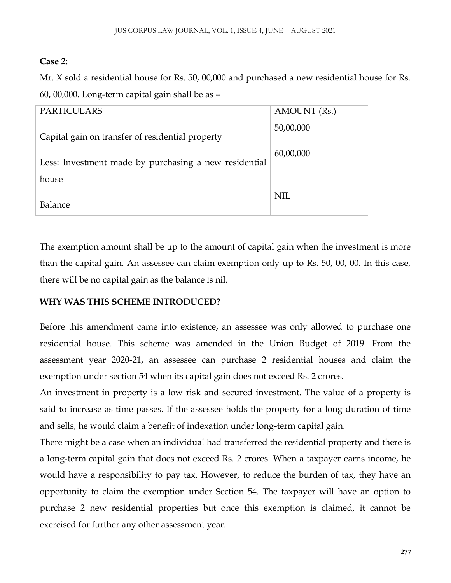### **Case 2:**

Mr. X sold a residential house for Rs. 50, 00,000 and purchased a new residential house for Rs. 60, 00,000. Long-term capital gain shall be as –

| <b>PARTICULARS</b>                                             | AMOUNT (Rs.) |
|----------------------------------------------------------------|--------------|
| Capital gain on transfer of residential property               | 50,00,000    |
| Less: Investment made by purchasing a new residential<br>house | 60,00,000    |
| Balance                                                        | NIL          |

The exemption amount shall be up to the amount of capital gain when the investment is more than the capital gain. An assessee can claim exemption only up to Rs. 50, 00, 00. In this case, there will be no capital gain as the balance is nil.

## **WHY WAS THIS SCHEME INTRODUCED?**

Before this amendment came into existence, an assessee was only allowed to purchase one residential house. This scheme was amended in the Union Budget of 2019. From the assessment year 2020-21, an assessee can purchase 2 residential houses and claim the exemption under section 54 when its capital gain does not exceed Rs. 2 crores.

An investment in property is a low risk and secured investment. The value of a property is said to increase as time passes. If the assessee holds the property for a long duration of time and sells, he would claim a benefit of indexation under long-term capital gain.

There might be a case when an individual had transferred the residential property and there is a long-term capital gain that does not exceed Rs. 2 crores. When a taxpayer earns income, he would have a responsibility to pay tax. However, to reduce the burden of tax, they have an opportunity to claim the exemption under Section 54. The taxpayer will have an option to purchase 2 new residential properties but once this exemption is claimed, it cannot be exercised for further any other assessment year.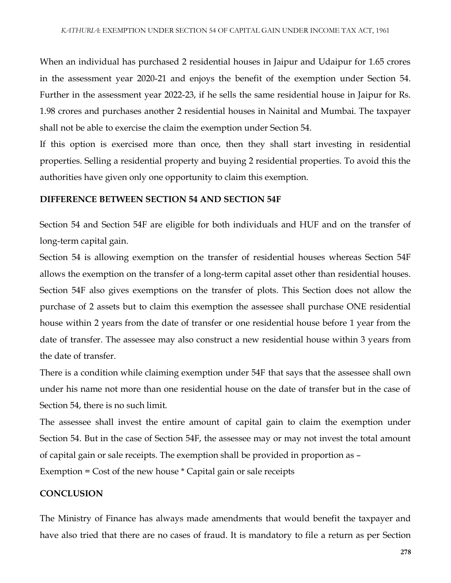When an individual has purchased 2 residential houses in Jaipur and Udaipur for 1.65 crores in the assessment year 2020-21 and enjoys the benefit of the exemption under Section 54. Further in the assessment year 2022-23, if he sells the same residential house in Jaipur for Rs. 1.98 crores and purchases another 2 residential houses in Nainital and Mumbai. The taxpayer shall not be able to exercise the claim the exemption under Section 54.

If this option is exercised more than once, then they shall start investing in residential properties. Selling a residential property and buying 2 residential properties. To avoid this the authorities have given only one opportunity to claim this exemption.

#### **DIFFERENCE BETWEEN SECTION 54 AND SECTION 54F**

Section 54 and Section 54F are eligible for both individuals and HUF and on the transfer of long-term capital gain.

Section 54 is allowing exemption on the transfer of residential houses whereas Section 54F allows the exemption on the transfer of a long-term capital asset other than residential houses. Section 54F also gives exemptions on the transfer of plots. This Section does not allow the purchase of 2 assets but to claim this exemption the assessee shall purchase ONE residential house within 2 years from the date of transfer or one residential house before 1 year from the date of transfer. The assessee may also construct a new residential house within 3 years from the date of transfer.

There is a condition while claiming exemption under 54F that says that the assessee shall own under his name not more than one residential house on the date of transfer but in the case of Section 54, there is no such limit.

The assessee shall invest the entire amount of capital gain to claim the exemption under Section 54. But in the case of Section 54F, the assessee may or may not invest the total amount of capital gain or sale receipts. The exemption shall be provided in proportion as –

Exemption = Cost of the new house \* Capital gain or sale receipts

#### **CONCLUSION**

The Ministry of Finance has always made amendments that would benefit the taxpayer and have also tried that there are no cases of fraud. It is mandatory to file a return as per Section